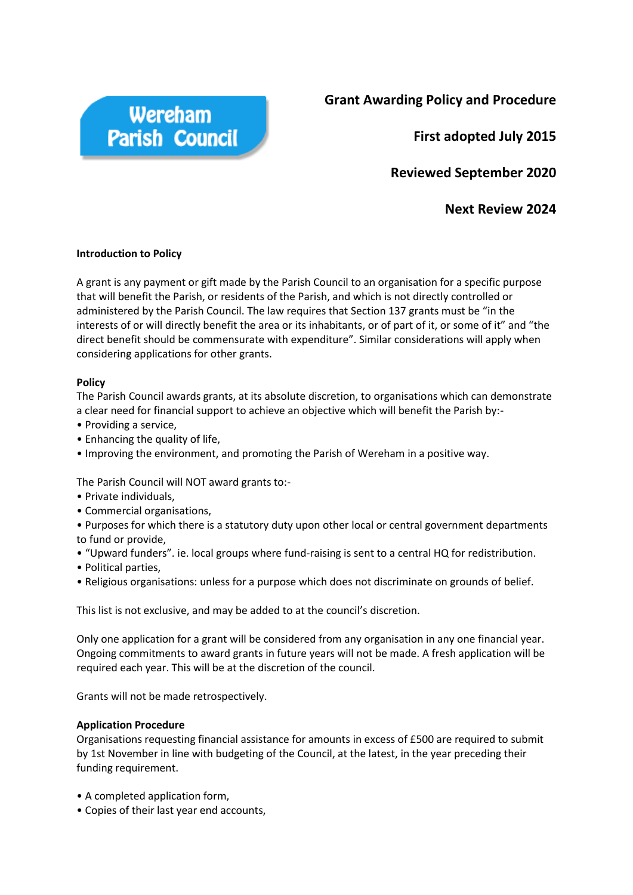

**Grant Awarding Policy and Procedure**

**First adopted July 2015**

**Reviewed September 2020** 

**Next Review 2024**

## **Introduction to Policy**

A grant is any payment or gift made by the Parish Council to an organisation for a specific purpose that will benefit the Parish, or residents of the Parish, and which is not directly controlled or administered by the Parish Council. The law requires that Section 137 grants must be "in the interests of or will directly benefit the area or its inhabitants, or of part of it, or some of it" and "the direct benefit should be commensurate with expenditure". Similar considerations will apply when considering applications for other grants.

## **Policy**

The Parish Council awards grants, at its absolute discretion, to organisations which can demonstrate a clear need for financial support to achieve an objective which will benefit the Parish by:-

- Providing a service,
- Enhancing the quality of life,
- Improving the environment, and promoting the Parish of Wereham in a positive way.

The Parish Council will NOT award grants to:-

- Private individuals,
- Commercial organisations,

• Purposes for which there is a statutory duty upon other local or central government departments to fund or provide,

- "Upward funders". ie. local groups where fund-raising is sent to a central HQ for redistribution.
- Political parties,
- Religious organisations: unless for a purpose which does not discriminate on grounds of belief.

This list is not exclusive, and may be added to at the council's discretion.

Only one application for a grant will be considered from any organisation in any one financial year. Ongoing commitments to award grants in future years will not be made. A fresh application will be required each year. This will be at the discretion of the council.

Grants will not be made retrospectively.

## **Application Procedure**

Organisations requesting financial assistance for amounts in excess of £500 are required to submit by 1st November in line with budgeting of the Council, at the latest, in the year preceding their funding requirement.

- A completed application form,
- Copies of their last year end accounts,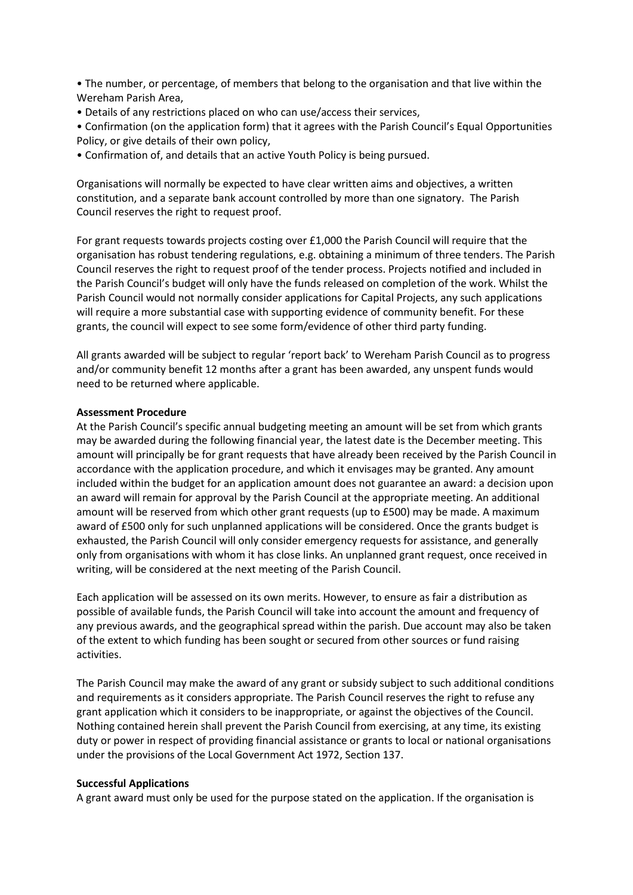• The number, or percentage, of members that belong to the organisation and that live within the Wereham Parish Area,

• Details of any restrictions placed on who can use/access their services,

• Confirmation (on the application form) that it agrees with the Parish Council's Equal Opportunities Policy, or give details of their own policy,

• Confirmation of, and details that an active Youth Policy is being pursued.

Organisations will normally be expected to have clear written aims and objectives, a written constitution, and a separate bank account controlled by more than one signatory. The Parish Council reserves the right to request proof.

For grant requests towards projects costing over £1,000 the Parish Council will require that the organisation has robust tendering regulations, e.g. obtaining a minimum of three tenders. The Parish Council reserves the right to request proof of the tender process. Projects notified and included in the Parish Council's budget will only have the funds released on completion of the work. Whilst the Parish Council would not normally consider applications for Capital Projects, any such applications will require a more substantial case with supporting evidence of community benefit. For these grants, the council will expect to see some form/evidence of other third party funding.

All grants awarded will be subject to regular 'report back' to Wereham Parish Council as to progress and/or community benefit 12 months after a grant has been awarded, any unspent funds would need to be returned where applicable.

#### **Assessment Procedure**

At the Parish Council's specific annual budgeting meeting an amount will be set from which grants may be awarded during the following financial year, the latest date is the December meeting. This amount will principally be for grant requests that have already been received by the Parish Council in accordance with the application procedure, and which it envisages may be granted. Any amount included within the budget for an application amount does not guarantee an award: a decision upon an award will remain for approval by the Parish Council at the appropriate meeting. An additional amount will be reserved from which other grant requests (up to £500) may be made. A maximum award of £500 only for such unplanned applications will be considered. Once the grants budget is exhausted, the Parish Council will only consider emergency requests for assistance, and generally only from organisations with whom it has close links. An unplanned grant request, once received in writing, will be considered at the next meeting of the Parish Council.

Each application will be assessed on its own merits. However, to ensure as fair a distribution as possible of available funds, the Parish Council will take into account the amount and frequency of any previous awards, and the geographical spread within the parish. Due account may also be taken of the extent to which funding has been sought or secured from other sources or fund raising activities.

The Parish Council may make the award of any grant or subsidy subject to such additional conditions and requirements as it considers appropriate. The Parish Council reserves the right to refuse any grant application which it considers to be inappropriate, or against the objectives of the Council. Nothing contained herein shall prevent the Parish Council from exercising, at any time, its existing duty or power in respect of providing financial assistance or grants to local or national organisations under the provisions of the Local Government Act 1972, Section 137.

#### **Successful Applications**

A grant award must only be used for the purpose stated on the application. If the organisation is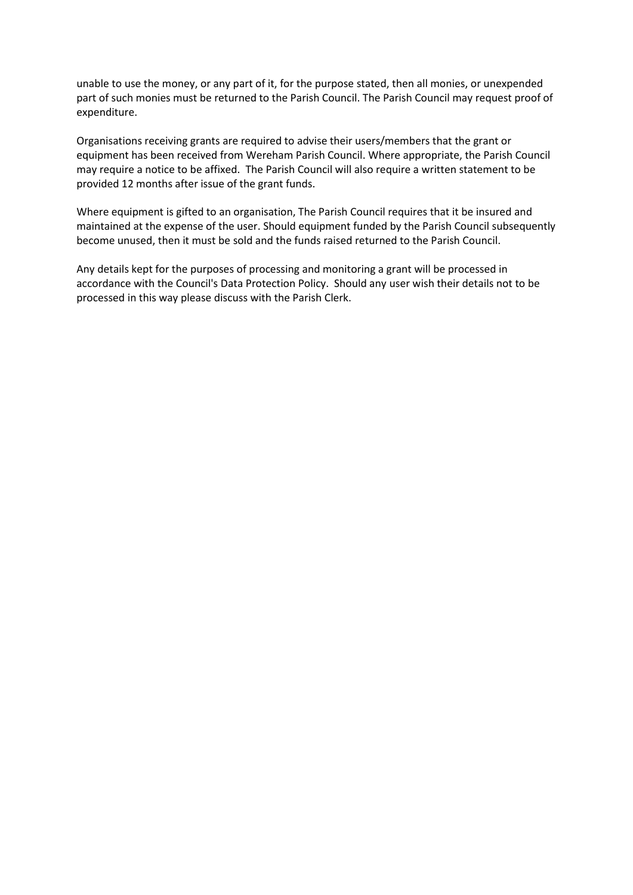unable to use the money, or any part of it, for the purpose stated, then all monies, or unexpended part of such monies must be returned to the Parish Council. The Parish Council may request proof of expenditure.

Organisations receiving grants are required to advise their users/members that the grant or equipment has been received from Wereham Parish Council. Where appropriate, the Parish Council may require a notice to be affixed. The Parish Council will also require a written statement to be provided 12 months after issue of the grant funds.

Where equipment is gifted to an organisation, The Parish Council requires that it be insured and maintained at the expense of the user. Should equipment funded by the Parish Council subsequently become unused, then it must be sold and the funds raised returned to the Parish Council.

Any details kept for the purposes of processing and monitoring a grant will be processed in accordance with the Council's Data Protection Policy. Should any user wish their details not to be processed in this way please discuss with the Parish Clerk.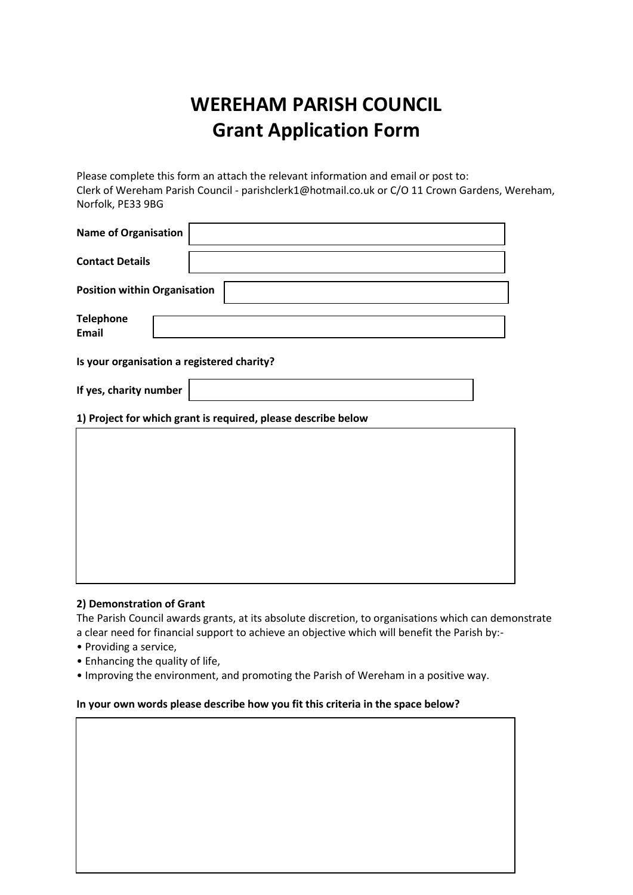# **WEREHAM PARISH COUNCIL Grant Application Form**

Please complete this form an attach the relevant information and email or post to: Clerk of Wereham Parish Council - parishclerk1@hotmail.co.uk or C/O 11 Crown Gardens, Wereham, Norfolk, PE33 9BG

| <b>Name of Organisation</b>                                   |  |
|---------------------------------------------------------------|--|
| <b>Contact Details</b>                                        |  |
| <b>Position within Organisation</b>                           |  |
| <b>Telephone</b><br><b>Email</b>                              |  |
| Is your organisation a registered charity?                    |  |
| If yes, charity number                                        |  |
| 1) Project for which grant is required, please describe below |  |
|                                                               |  |
|                                                               |  |
|                                                               |  |
|                                                               |  |
|                                                               |  |
|                                                               |  |

## **2) Demonstration of Grant**

The Parish Council awards grants, at its absolute discretion, to organisations which can demonstrate a clear need for financial support to achieve an objective which will benefit the Parish by:-

- Providing a service,
- Enhancing the quality of life,
- Improving the environment, and promoting the Parish of Wereham in a positive way.

## **In your own words please describe how you fit this criteria in the space below?**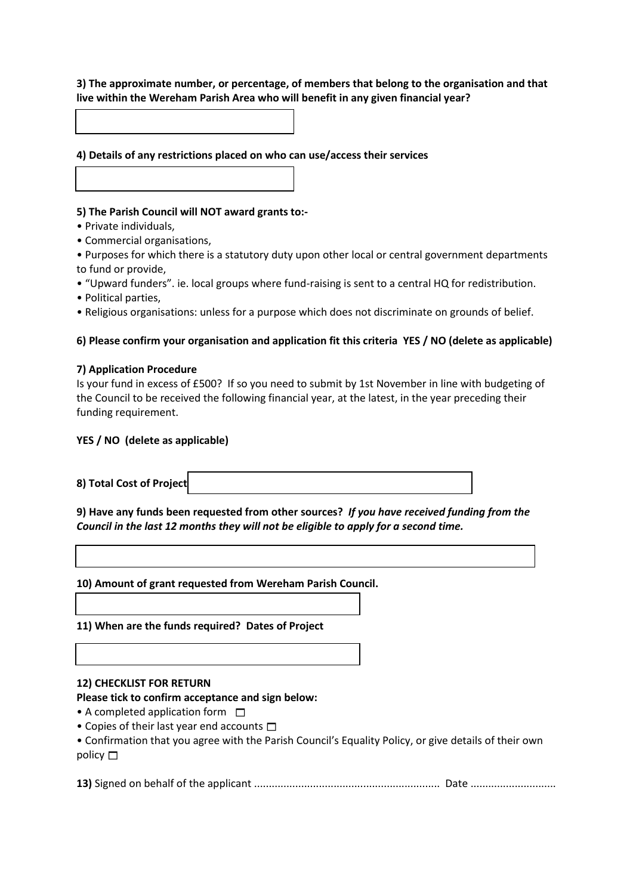## **3) The approximate number, or percentage, of members that belong to the organisation and that live within the Wereham Parish Area who will benefit in any given financial year?**

**4) Details of any restrictions placed on who can use/access their services**

## **5) The Parish Council will NOT award grants to:-**

- Private individuals,
- Commercial organisations,

• Purposes for which there is a statutory duty upon other local or central government departments to fund or provide,

- "Upward funders". ie. local groups where fund-raising is sent to a central HQ for redistribution.
- Political parties,
- Religious organisations: unless for a purpose which does not discriminate on grounds of belief.

## **6) Please confirm your organisation and application fit this criteria YES / NO (delete as applicable)**

## **7) Application Procedure**

| Is your fund in excess of £500? If so you need to submit by 1st November in line with budgeting of  |
|-----------------------------------------------------------------------------------------------------|
| the Council to be received the following financial year, at the latest, in the year preceding their |
| funding requirement.                                                                                |

## **YES / NO (delete as applicable)**

**9) Have any funds been requested from other sources?** *If you have received funding from the Council in the last 12 months they will not be eligible to apply for a second time.*

**10) Amount of grant requested from Wereham Parish Council.**

**11) When are the funds required? Dates of Project**

## **12) CHECKLIST FOR RETURN**

## **Please tick to confirm acceptance and sign below:**

- A completed application form  $\square$
- Copies of their last year end accounts  $\square$
- Confirmation that you agree with the Parish Council's Equality Policy, or give details of their own policy  $\square$

**13)** Signed on behalf of the applicant ............................................................... Date .............................